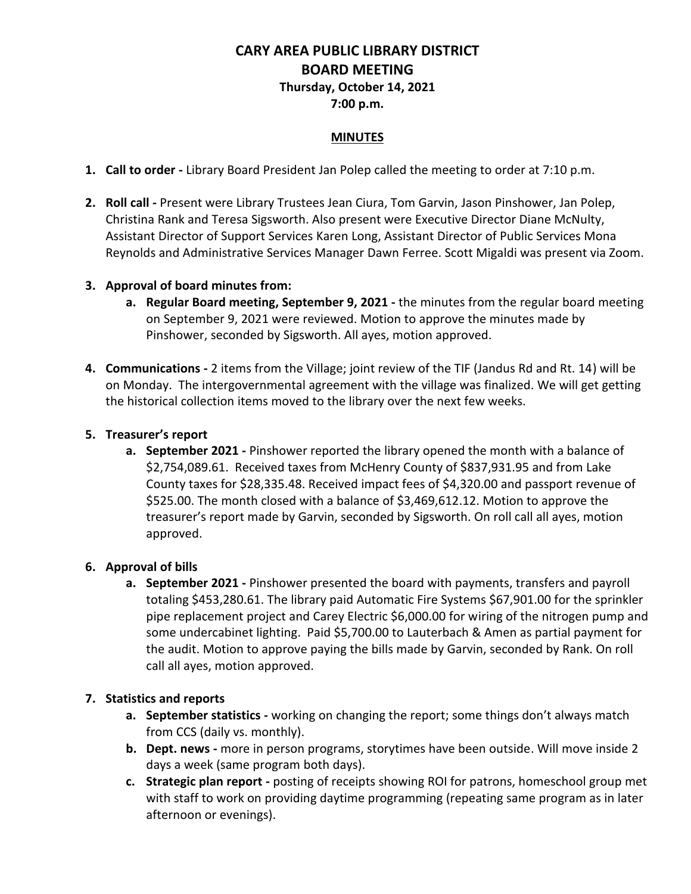# **CARY AREA PUBLIC LIBRARY DISTRICT BOARD MEETING Thursday, October 14, 2021**

**7:00 p.m.**

#### **MINUTES**

- **1. Call to order -** Library Board President Jan Polep called the meeting to order at 7:10 p.m.
- **2. Roll call -** Present were Library Trustees Jean Ciura, Tom Garvin, Jason Pinshower, Jan Polep, Christina Rank and Teresa Sigsworth. Also present were Executive Director Diane McNulty, Assistant Director of Support Services Karen Long, Assistant Director of Public Services Mona Reynolds and Administrative Services Manager Dawn Ferree. Scott Migaldi was present via Zoom.

#### **3. Approval of board minutes from:**

- **a. Regular Board meeting, September 9, 2021 -** the minutes from the regular board meeting on September 9, 2021 were reviewed. Motion to approve the minutes made by Pinshower, seconded by Sigsworth. All ayes, motion approved.
- **4. Communications -** 2 items from the Village; joint review of the TIF (Jandus Rd and Rt. 14) will be on Monday. The intergovernmental agreement with the village was finalized. We will get getting the historical collection items moved to the library over the next few weeks.

#### **5. Treasurer's report**

**a. September 2021 -** Pinshower reported the library opened the month with a balance of \$2,754,089.61. Received taxes from McHenry County of \$837,931.95 and from Lake County taxes for \$28,335.48. Received impact fees of \$4,320.00 and passport revenue of \$525.00. The month closed with a balance of \$3,469,612.12. Motion to approve the treasurer's report made by Garvin, seconded by Sigsworth. On roll call all ayes, motion approved.

## **6. Approval of bills**

**a. September 2021 -** Pinshower presented the board with payments, transfers and payroll totaling \$453,280.61. The library paid Automatic Fire Systems \$67,901.00 for the sprinkler pipe replacement project and Carey Electric \$6,000.00 for wiring of the nitrogen pump and some undercabinet lighting. Paid \$5,700.00 to Lauterbach & Amen as partial payment for the audit. Motion to approve paying the bills made by Garvin, seconded by Rank. On roll call all ayes, motion approved.

## **7. Statistics and reports**

- **a. September statistics -** working on changing the report; some things don't always match from CCS (daily vs. monthly).
- **b. Dept. news -** more in person programs, storytimes have been outside. Will move inside 2 days a week (same program both days).
- **c. Strategic plan report -** posting of receipts showing ROI for patrons, homeschool group met with staff to work on providing daytime programming (repeating same program as in later afternoon or evenings).